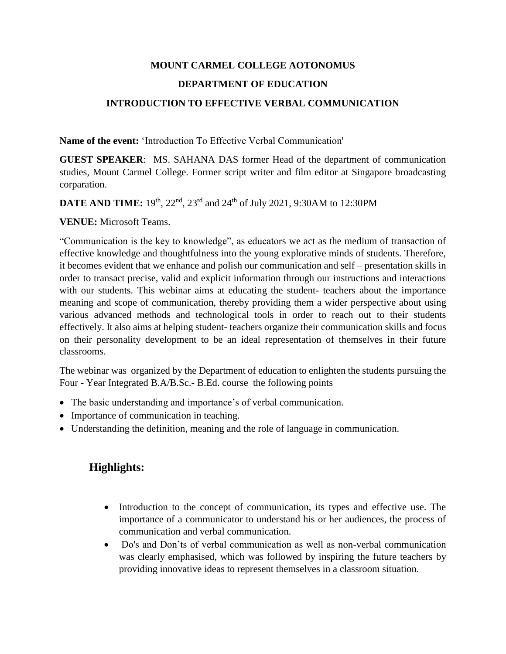## **MOUNT CARMEL COLLEGE AOTONOMUS DEPARTMENT OF EDUCATION INTRODUCTION TO EFFECTIVE VERBAL COMMUNICATION**

**Name of the event:** 'Introduction To Effective Verbal Communication'

**GUEST SPEAKER**: MS. SAHANA DAS former Head of the department of communication studies, Mount Carmel College. Former script writer and film editor at Singapore broadcasting corparation.

**DATE AND TIME:** 19th, 22nd, 23rd and 24th of July 2021, 9:30AM to 12:30PM

**VENUE:** Microsoft Teams.

"Communication is the key to knowledge", as educators we act as the medium of transaction of effective knowledge and thoughtfulness into the young explorative minds of students. Therefore, it becomes evident that we enhance and polish our communication and self – presentation skills in order to transact precise, valid and explicit information through our instructions and interactions with our students. This webinar aims at educating the student- teachers about the importance meaning and scope of communication, thereby providing them a wider perspective about using various advanced methods and technological tools in order to reach out to their students effectively. It also aims at helping student- teachers organize their communication skills and focus on their personality development to be an ideal representation of themselves in their future classrooms.

The webinar was organized by the Department of education to enlighten the students pursuing the Four - Year Integrated B.A/B.Sc.- B.Ed. course the following points

- The basic understanding and importance's of verbal communication.
- Importance of communication in teaching.
- Understanding the definition, meaning and the role of language in communication.

## **Highlights:**

- Introduction to the concept of communication, its types and effective use. The importance of a communicator to understand his or her audiences, the process of communication and verbal communication.
- Do's and Don'ts of verbal communication as well as non-verbal communication was clearly emphasised, which was followed by inspiring the future teachers by providing innovative ideas to represent themselves in a classroom situation.